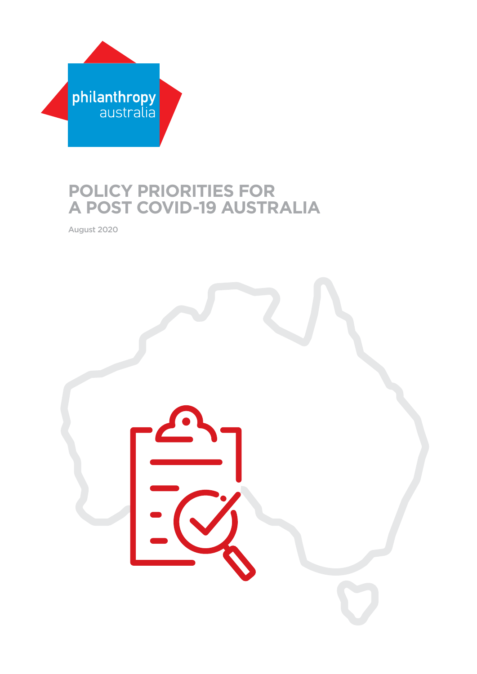

# **POLICY PRIORITIES FOR A POST COVID-19 AUSTRALIA**

August 2020

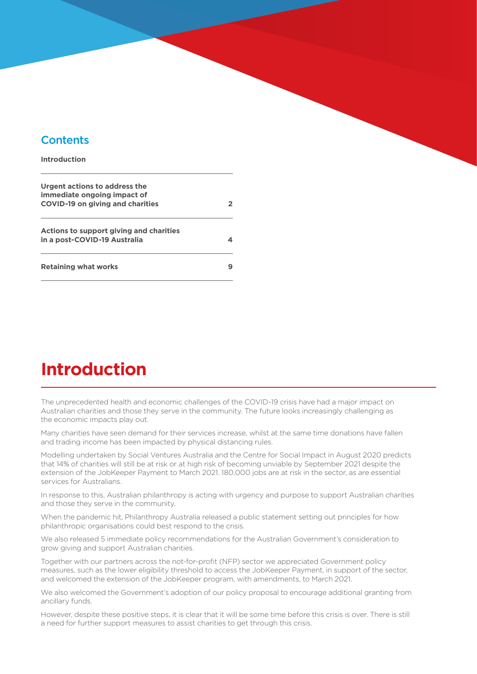## **Contents**

#### **Introduction**

| Urgent actions to address the<br>immediate ongoing impact of<br><b>COVID-19 on giving and charities</b> | 2 |
|---------------------------------------------------------------------------------------------------------|---|
| Actions to support giving and charities<br>in a post-COVID-19 Australia                                 |   |
| <b>Retaining what works</b>                                                                             |   |

# **Introduction**

The unprecedented health and economic challenges of the COVID-19 crisis have had a major impact on Australian charities and those they serve in the community. The future looks increasingly challenging as the economic impacts play out.

Many charities have seen demand for their services increase, whilst at the same time donations have fallen and trading income has been impacted by physical distancing rules.

Modelling undertaken by Social Ventures Australia and the Centre for Social Impact in August 2020 predicts that 14% of charities will still be at risk or at high risk of becoming unviable by September 2021 despite the extension of the JobKeeper Payment to March 2021. 180,000 jobs are at risk in the sector, as are essential services for Australians.

In response to this, Australian philanthropy is acting with urgency and purpose to support Australian charities and those they serve in the community.

When the pandemic hit, Philanthropy Australia released a public statement setting out principles for how philanthropic organisations could best respond to the crisis.

We also released 5 immediate policy recommendations for the Australian Government's consideration to grow giving and support Australian charities.

Together with our partners across the not-for-profit (NFP) sector we appreciated Government policy measures, such as the lower eligibility threshold to access the JobKeeper Payment, in support of the sector, and welcomed the extension of the JobKeeper program, with amendments, to March 2021.

We also welcomed the Government's adoption of our policy proposal to encourage additional granting from ancillary funds.

However, despite these positive steps, it is clear that it will be some time before this crisis is over. There is still a need for further support measures to assist charities to get through this crisis.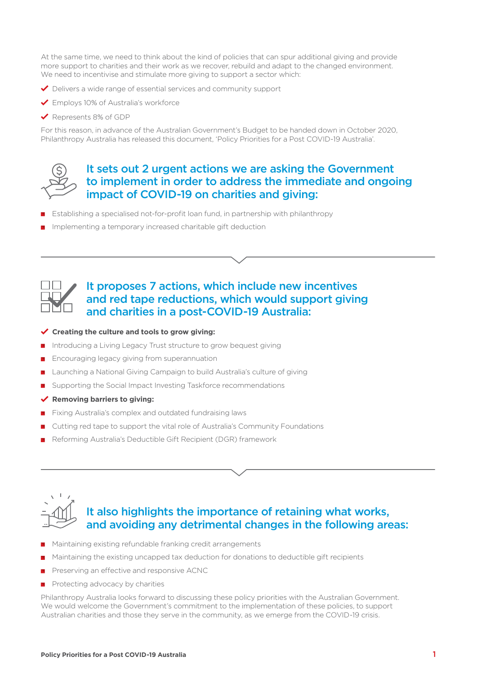At the same time, we need to think about the kind of policies that can spur additional giving and provide more support to charities and their work as we recover, rebuild and adapt to the changed environment. We need to incentivise and stimulate more giving to support a sector which:

- Delivers a wide range of essential services and community support
- ◆ Employs 10% of Australia's workforce
- ◆ Represents 8% of GDP

For this reason, in advance of the Australian Government's Budget to be handed down in October 2020, Philanthropy Australia has released this document, 'Policy Priorities for a Post COVID-19 Australia'.



### It sets out 2 urgent actions we are asking the Government to implement in order to address the immediate and ongoing impact of COVID-19 on charities and giving:

- Establishing a specialised not-for-profit loan fund, in partnership with philanthropy
- Implementing a temporary increased charitable gift deduction

## It proposes 7 actions, which include new incentives and red tape reductions, which would support giving and charities in a post-COVID-19 Australia:

#### **Creating the culture and tools to grow giving:**

- Introducing a Living Legacy Trust structure to grow bequest giving
- Encouraging legacy giving from superannuation
- Launching a National Giving Campaign to build Australia's culture of giving
- Supporting the Social Impact Investing Taskforce recommendations
- **Removing barriers to giving:**
- Fixing Australia's complex and outdated fundraising laws
- Cutting red tape to support the vital role of Australia's Community Foundations
- Reforming Australia's Deductible Gift Recipient (DGR) framework



# It also highlights the importance of retaining what works, and avoiding any detrimental changes in the following areas:

- Maintaining existing refundable franking credit arrangements
- Maintaining the existing uncapped tax deduction for donations to deductible gift recipients
- Preserving an effective and responsive ACNC
- Protecting advocacy by charities

Philanthropy Australia looks forward to discussing these policy priorities with the Australian Government. We would welcome the Government's commitment to the implementation of these policies, to support Australian charities and those they serve in the community, as we emerge from the COVID-19 crisis.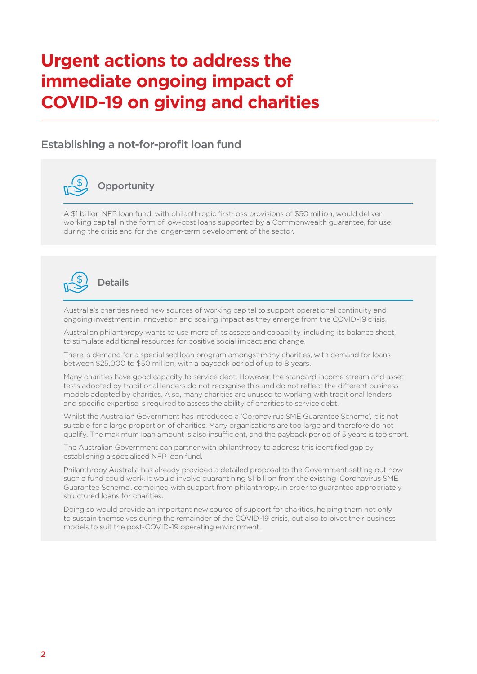# <span id="page-3-0"></span>**Urgent actions to address the immediate ongoing impact of COVID-19 on giving and charities**

## Establishing a not-for-profit loan fund



# **Opportunity**

A \$1 billion NFP loan fund, with philanthropic first-loss provisions of \$50 million, would deliver working capital in the form of low-cost loans supported by a Commonwealth guarantee, for use during the crisis and for the longer-term development of the sector.



Australia's charities need new sources of working capital to support operational continuity and ongoing investment in innovation and scaling impact as they emerge from the COVID-19 crisis.

Australian philanthropy wants to use more of its assets and capability, including its balance sheet, to stimulate additional resources for positive social impact and change.

There is demand for a specialised loan program amongst many charities, with demand for loans between \$25,000 to \$50 million, with a payback period of up to 8 years.

Many charities have good capacity to service debt. However, the standard income stream and asset tests adopted by traditional lenders do not recognise this and do not reflect the different business models adopted by charities. Also, many charities are unused to working with traditional lenders and specific expertise is required to assess the ability of charities to service debt.

Whilst the Australian Government has introduced a 'Coronavirus SME Guarantee Scheme', it is not suitable for a large proportion of charities. Many organisations are too large and therefore do not qualify. The maximum loan amount is also insufficient, and the payback period of 5 years is too short.

The Australian Government can partner with philanthropy to address this identified gap by establishing a specialised NFP loan fund.

Philanthropy Australia has already provided a detailed proposal to the Government setting out how such a fund could work. It would involve quarantining \$1 billion from the existing 'Coronavirus SME Guarantee Scheme', combined with support from philanthropy, in order to guarantee appropriately structured loans for charities.

Doing so would provide an important new source of support for charities, helping them not only to sustain themselves during the remainder of the COVID-19 crisis, but also to pivot their business models to suit the post-COVID-19 operating environment.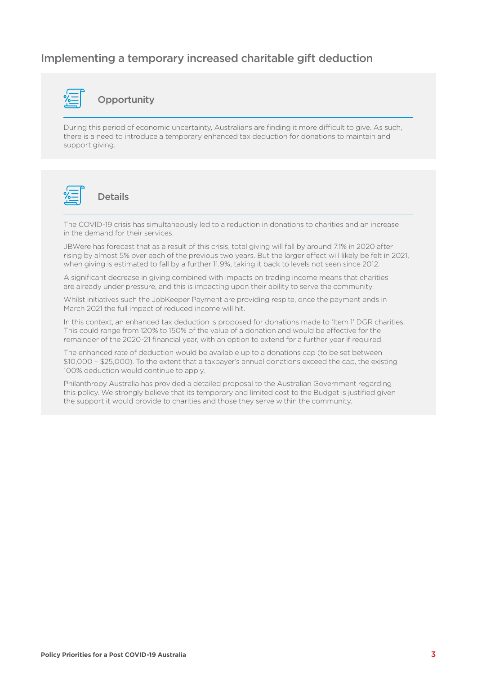## Implementing a temporary increased charitable gift deduction



#### **Opportunity**

During this period of economic uncertainty, Australians are finding it more difficult to give. As such, there is a need to introduce a temporary enhanced tax deduction for donations to maintain and support giving.



#### Details

The COVID-19 crisis has simultaneously led to a reduction in donations to charities and an increase in the demand for their services.

JBWere has forecast that as a result of this crisis, total giving will fall by around 7.1% in 2020 after rising by almost 5% over each of the previous two years. But the larger effect will likely be felt in 2021, when giving is estimated to fall by a further 11.9%, taking it back to levels not seen since 2012.

A significant decrease in giving combined with impacts on trading income means that charities are already under pressure, and this is impacting upon their ability to serve the community.

Whilst initiatives such the JobKeeper Payment are providing respite, once the payment ends in March 2021 the full impact of reduced income will hit.

In this context, an enhanced tax deduction is proposed for donations made to 'Item 1' DGR charities. This could range from 120% to 150% of the value of a donation and would be effective for the remainder of the 2020-21 financial year, with an option to extend for a further year if required.

The enhanced rate of deduction would be available up to a donations cap (to be set between \$10,000 – \$25,000). To the extent that a taxpayer's annual donations exceed the cap, the existing 100% deduction would continue to apply.

Philanthropy Australia has provided a detailed proposal to the Australian Government regarding this policy. We strongly believe that its temporary and limited cost to the Budget is justified given the support it would provide to charities and those they serve within the community.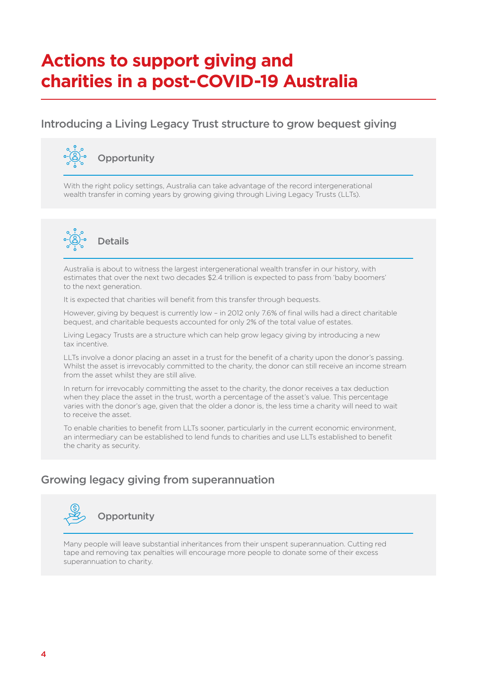# <span id="page-5-0"></span>**Actions to support giving and charities in a post-COVID-19 Australia**

# Introducing a Living Legacy Trust structure to grow bequest giving



With the right policy settings, Australia can take advantage of the record intergenerational wealth transfer in coming years by growing giving through Living Legacy Trusts (LLTs).



Australia is about to witness the largest intergenerational wealth transfer in our history, with estimates that over the next two decades \$2.4 trillion is expected to pass from 'baby boomers' to the next generation.

It is expected that charities will benefit from this transfer through bequests.

However, giving by bequest is currently low – in 2012 only 7.6% of final wills had a direct charitable bequest, and charitable bequests accounted for only 2% of the total value of estates.

Living Legacy Trusts are a structure which can help grow legacy giving by introducing a new tax incentive.

LLTs involve a donor placing an asset in a trust for the benefit of a charity upon the donor's passing. Whilst the asset is irrevocably committed to the charity, the donor can still receive an income stream from the asset whilst they are still alive.

In return for irrevocably committing the asset to the charity, the donor receives a tax deduction when they place the asset in the trust, worth a percentage of the asset's value. This percentage varies with the donor's age, given that the older a donor is, the less time a charity will need to wait to receive the asset.

To enable charities to benefit from LLTs sooner, particularly in the current economic environment, an intermediary can be established to lend funds to charities and use LLTs established to benefit the charity as security.

# Growing legacy giving from superannuation



Many people will leave substantial inheritances from their unspent superannuation. Cutting red tape and removing tax penalties will encourage more people to donate some of their excess superannuation to charity.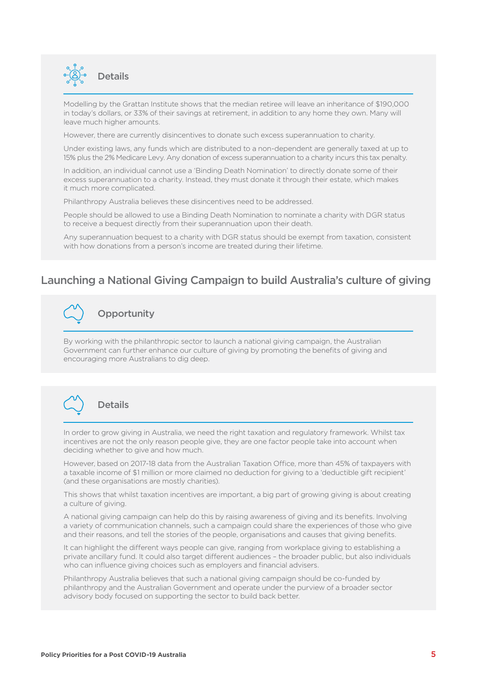

Modelling by the Grattan Institute shows that the median retiree will leave an inheritance of \$190,000 in today's dollars, or 33% of their savings at retirement, in addition to any home they own. Many will leave much higher amounts.

However, there are currently disincentives to donate such excess superannuation to charity.

Under existing laws, any funds which are distributed to a non-dependent are generally taxed at up to 15% plus the 2% Medicare Levy. Any donation of excess superannuation to a charity incurs this tax penalty.

In addition, an individual cannot use a 'Binding Death Nomination' to directly donate some of their excess superannuation to a charity. Instead, they must donate it through their estate, which makes it much more complicated.

Philanthropy Australia believes these disincentives need to be addressed.

People should be allowed to use a Binding Death Nomination to nominate a charity with DGR status to receive a bequest directly from their superannuation upon their death.

Any superannuation bequest to a charity with DGR status should be exempt from taxation, consistent with how donations from a person's income are treated during their lifetime.

### Launching a National Giving Campaign to build Australia's culture of giving



By working with the philanthropic sector to launch a national giving campaign, the Australian Government can further enhance our culture of giving by promoting the benefits of giving and encouraging more Australians to dig deep.



#### **Details**

In order to grow giving in Australia, we need the right taxation and regulatory framework. Whilst tax incentives are not the only reason people give, they are one factor people take into account when deciding whether to give and how much.

However, based on 2017-18 data from the Australian Taxation Office, more than 45% of taxpayers with a taxable income of \$1 million or more claimed no deduction for giving to a 'deductible gift recipient' (and these organisations are mostly charities).

This shows that whilst taxation incentives are important, a big part of growing giving is about creating a culture of giving.

A national giving campaign can help do this by raising awareness of giving and its benefits. Involving a variety of communication channels, such a campaign could share the experiences of those who give and their reasons, and tell the stories of the people, organisations and causes that giving benefits.

It can highlight the different ways people can give, ranging from workplace giving to establishing a private ancillary fund. It could also target different audiences – the broader public, but also individuals who can influence giving choices such as employers and financial advisers.

Philanthropy Australia believes that such a national giving campaign should be co-funded by philanthropy and the Australian Government and operate under the purview of a broader sector advisory body focused on supporting the sector to build back better.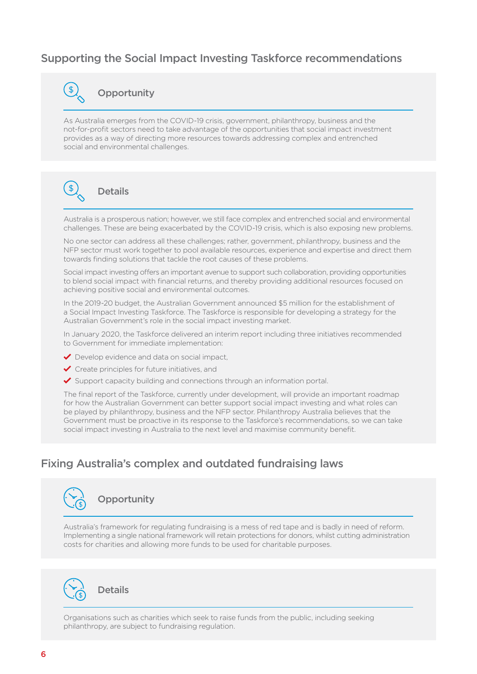# Supporting the Social Impact Investing Taskforce recommendations



#### **Opportunity**

As Australia emerges from the COVID-19 crisis, government, philanthropy, business and the not-for-profit sectors need to take advantage of the opportunities that social impact investment provides as a way of directing more resources towards addressing complex and entrenched social and environmental challenges.



# **Details**

Australia is a prosperous nation; however, we still face complex and entrenched social and environmental challenges. These are being exacerbated by the COVID-19 crisis, which is also exposing new problems.

No one sector can address all these challenges; rather, government, philanthropy, business and the NFP sector must work together to pool available resources, experience and expertise and direct them towards finding solutions that tackle the root causes of these problems.

Social impact investing offers an important avenue to support such collaboration, providing opportunities to blend social impact with financial returns, and thereby providing additional resources focused on achieving positive social and environmental outcomes.

In the 2019-20 budget, the Australian Government announced \$5 million for the establishment of a Social Impact Investing Taskforce. The Taskforce is responsible for developing a strategy for the Australian Government's role in the social impact investing market.

In January 2020, the Taskforce delivered an interim report including three initiatives recommended to Government for immediate implementation:

- Develop evidence and data on social impact,
- Create principles for future initiatives, and
- $\blacktriangleright$  Support capacity building and connections through an information portal.

The final report of the Taskforce, currently under development, will provide an important roadmap for how the Australian Government can better support social impact investing and what roles can be played by philanthropy, business and the NFP sector. Philanthropy Australia believes that the Government must be proactive in its response to the Taskforce's recommendations, so we can take social impact investing in Australia to the next level and maximise community benefit.

## Fixing Australia's complex and outdated fundraising laws



# **Opportunity**

Australia's framework for regulating fundraising is a mess of red tape and is badly in need of reform. Implementing a single national framework will retain protections for donors, whilst cutting administration costs for charities and allowing more funds to be used for charitable purposes.



Organisations such as charities which seek to raise funds from the public, including seeking philanthropy, are subject to fundraising regulation.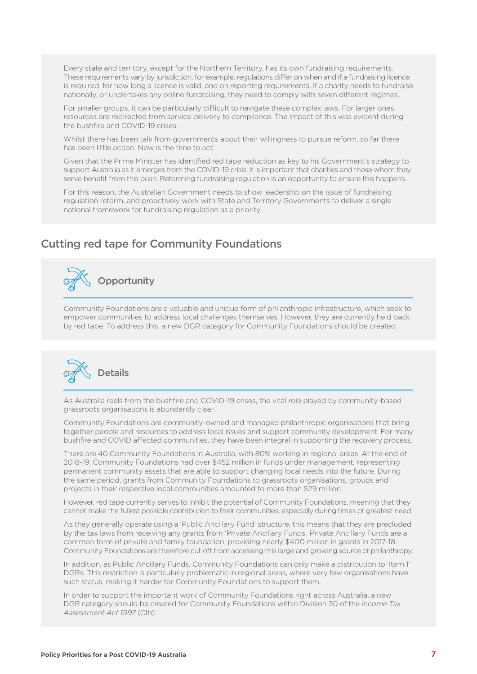Every state and territory, except for the Northern Territory, has its own fundraising requirements. These requirements vary by jurisdiction: for example, regulations differ on when and if a fundraising licence is required, for how long a licence is valid, and on reporting requirements. If a charity needs to fundraise nationally, or undertakes any online fundraising, they need to comply with seven different regimes.

For smaller groups, it can be particularly difficult to navigate these complex laws. For larger ones, resources are redirected from service delivery to compliance. The impact of this was evident during the bushfire and COVID-19 crises.

Whilst there has been talk from governments about their willingness to pursue reform, so far there has been little action. Now is the time to act.

Given that the Prime Minister has identified red tape reduction as key to his Government's strategy to support Australia as it emerges from the COVID-19 crisis, it is important that charities and those whom they serve benefit from this push. Reforming fundraising regulation is an opportunity to ensure this happens.

For this reason, the Australian Government needs to show leadership on the issue of fundraising regulation reform, and proactively work with State and Territory Governments to deliver a single national framework for fundraising regulation as a priority.

### Cutting red tape for Community Foundations



Community Foundations are a valuable and unique form of philanthropic infrastructure, which seek to empower communities to address local challenges themselves. However, they are currently held back by red tape. To address this, a new DGR category for Community Foundations should be created.



As Australia reels from the bushfire and COVID-19 crises, the vital role played by community-based grassroots organisations is abundantly clear.

Community Foundations are community-owned and managed philanthropic organisations that bring together people and resources to address local issues and support community development. For many bushfire and COVID affected communities, they have been integral in supporting the recovery process.

There are 40 Community Foundations in Australia, with 80% working in regional areas. At the end of 2018-19, Community Foundations had over \$452 million in funds under management, representing permanent community assets that are able to support changing local needs into the future. During the same period, grants from Community Foundations to grassroots organisations, groups and projects in their respective local communities amounted to more than \$29 million.

However, red tape currently serves to inhibit the potential of Community Foundations, meaning that they cannot make the fullest possible contribution to their communities, especially during times of greatest need.

As they generally operate using a 'Public Ancillary Fund' structure, this means that they are precluded by the tax laws from receiving any grants from 'Private Ancillary Funds'. Private Ancillary Funds are a common form of private and family foundation, providing nearly \$400 million in grants in 2017-18. Community Foundations are therefore cut off from accessing this large and growing source of philanthropy.

In addition, as Public Ancillary Funds, Community Foundations can only make a distribution to 'Item 1' DGRs. This restriction is particularly problematic in regional areas, where very few organisations have such status, making it harder for Community Foundations to support them.

In order to support the important work of Community Foundations right across Australia, a new DGR category should be created for Community Foundations within Division 30 of the *Income Tax Assessment Act 1997* (Cth).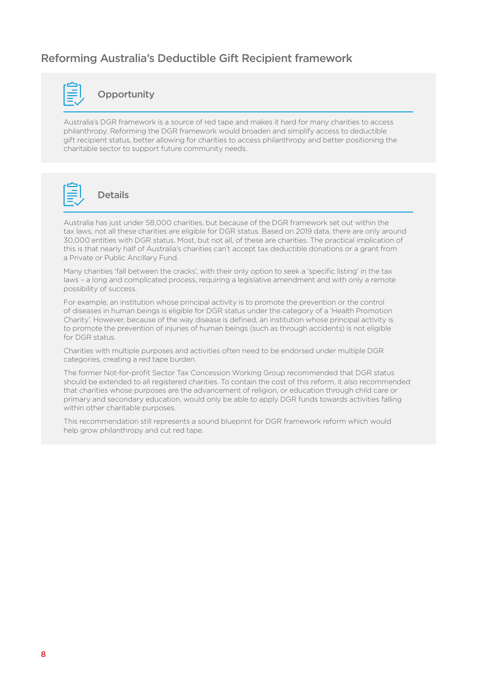# Reforming Australia's Deductible Gift Recipient framework



#### **Opportunity**

Australia's DGR framework is a source of red tape and makes it hard for many charities to access philanthropy. Reforming the DGR framework would broaden and simplify access to deductible gift recipient status, better allowing for charities to access philanthropy and better positioning the charitable sector to support future community needs.



### Details

Australia has just under 58,000 charities, but because of the DGR framework set out within the tax laws, not all these charities are eligible for DGR status. Based on 2019 data, there are only around 30,000 entities with DGR status. Most, but not all, of these are charities. The practical implication of this is that nearly half of Australia's charities can't accept tax deductible donations or a grant from a Private or Public Ancillary Fund.

Many charities 'fall between the cracks', with their only option to seek a 'specific listing' in the tax laws – a long and complicated process, requiring a legislative amendment and with only a remote possibility of success.

For example, an institution whose principal activity is to promote the prevention or the control of diseases in human beings is eligible for DGR status under the category of a 'Health Promotion Charity'. However, because of the way disease is defined, an institution whose principal activity is to promote the prevention of injuries of human beings (such as through accidents) is not eligible for DGR status.

Charities with multiple purposes and activities often need to be endorsed under multiple DGR categories, creating a red tape burden.

The former Not-for-profit Sector Tax Concession Working Group recommended that DGR status should be extended to all registered charities. To contain the cost of this reform, it also recommended that charities whose purposes are the advancement of religion, or education through child care or primary and secondary education, would only be able to apply DGR funds towards activities falling within other charitable purposes.

This recommendation still represents a sound blueprint for DGR framework reform which would help grow philanthropy and cut red tape.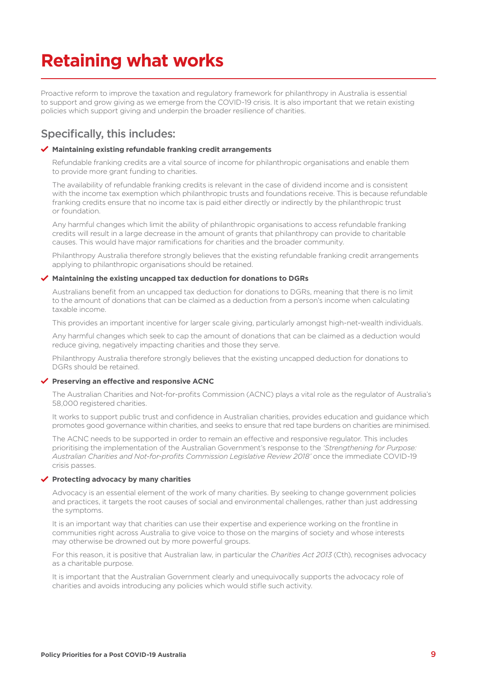# <span id="page-10-0"></span>**Retaining what works**

Proactive reform to improve the taxation and regulatory framework for philanthropy in Australia is essential to support and grow giving as we emerge from the COVID-19 crisis. It is also important that we retain existing policies which support giving and underpin the broader resilience of charities.

## Specifically, this includes:

#### **Maintaining existing refundable franking credit arrangements**

Refundable franking credits are a vital source of income for philanthropic organisations and enable them to provide more grant funding to charities.

The availability of refundable franking credits is relevant in the case of dividend income and is consistent with the income tax exemption which philanthropic trusts and foundations receive. This is because refundable franking credits ensure that no income tax is paid either directly or indirectly by the philanthropic trust or foundation.

Any harmful changes which limit the ability of philanthropic organisations to access refundable franking credits will result in a large decrease in the amount of grants that philanthropy can provide to charitable causes. This would have major ramifications for charities and the broader community.

Philanthropy Australia therefore strongly believes that the existing refundable franking credit arrangements applying to philanthropic organisations should be retained.

#### **Maintaining the existing uncapped tax deduction for donations to DGRs**

Australians benefit from an uncapped tax deduction for donations to DGRs, meaning that there is no limit to the amount of donations that can be claimed as a deduction from a person's income when calculating taxable income.

This provides an important incentive for larger scale giving, particularly amongst high-net-wealth individuals.

Any harmful changes which seek to cap the amount of donations that can be claimed as a deduction would reduce giving, negatively impacting charities and those they serve.

Philanthropy Australia therefore strongly believes that the existing uncapped deduction for donations to DGRs should be retained.

#### **Preserving an effective and responsive ACNC**

The Australian Charities and Not-for-profits Commission (ACNC) plays a vital role as the regulator of Australia's 58,000 registered charities.

It works to support public trust and confidence in Australian charities, provides education and guidance which promotes good governance within charities, and seeks to ensure that red tape burdens on charities are minimised.

The ACNC needs to be supported in order to remain an effective and responsive regulator. This includes prioritising the implementation of the Australian Government's response to the *'Strengthening for Purpose: Australian Charities and Not-for-profits Commission Legislative Review 2018'* once the immediate COVID-19 crisis passes.

#### **Protecting advocacy by many charities**

Advocacy is an essential element of the work of many charities. By seeking to change government policies and practices, it targets the root causes of social and environmental challenges, rather than just addressing the symptoms.

It is an important way that charities can use their expertise and experience working on the frontline in communities right across Australia to give voice to those on the margins of society and whose interests may otherwise be drowned out by more powerful groups.

For this reason, it is positive that Australian law, in particular the *Charities Act 2013* (Cth), recognises advocacy as a charitable purpose.

It is important that the Australian Government clearly and unequivocally supports the advocacy role of charities and avoids introducing any policies which would stifle such activity.